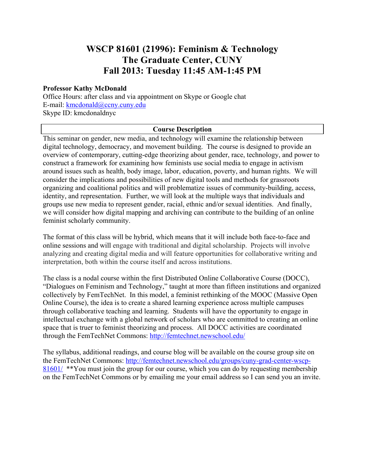# **WSCP 81601 (21996): Feminism & Technology The Graduate Center, CUNY Fall 2013: Tuesday 11:45 AM-1:45 PM**

#### **Professor Kathy McDonald**

Office Hours: after class and via appointment on Skype or Google chat E-mail: kmcdonald@ccny.cuny.edu Skype ID: kmcdonaldnyc

#### **Course Description**

This seminar on gender, new media, and technology will examine the relationship between digital technology, democracy, and movement building. The course is designed to provide an overview of contemporary, cutting-edge theorizing about gender, race, technology, and power to construct a framework for examining how feminists use social media to engage in activism around issues such as health, body image, labor, education, poverty, and human rights. We will consider the implications and possibilities of new digital tools and methods for grassroots organizing and coalitional politics and will problematize issues of community-building, access, identity, and representation. Further, we will look at the multiple ways that individuals and groups use new media to represent gender, racial, ethnic and/or sexual identities. And finally, we will consider how digital mapping and archiving can contribute to the building of an online feminist scholarly community.

The format of this class will be hybrid, which means that it will include both face-to-face and online sessions and will engage with traditional and digital scholarship. Projects will involve analyzing and creating digital media and will feature opportunities for collaborative writing and interpretation, both within the course itself and across institutions.

The class is a nodal course within the first Distributed Online Collaborative Course (DOCC), "Dialogues on Feminism and Technology," taught at more than fifteen institutions and organized collectively by FemTechNet. In this model, a feminist rethinking of the MOOC (Massive Open Online Course), the idea is to create a shared learning experience across multiple campuses through collaborative teaching and learning. Students will have the opportunity to engage in intellectual exchange with a global network of scholars who are committed to creating an online space that is truer to feminist theorizing and process. All DOCC activities are coordinated through the FemTechNet Commons: http://femtechnet.newschool.edu/

The syllabus, additional readings, and course blog will be available on the course group site on the FemTechNet Commons: http://femtechnet.newschool.edu/groups/cuny-grad-center-wscp-81601/ \*\*You must join the group for our course, which you can do by requesting membership on the FemTechNet Commons or by emailing me your email address so I can send you an invite.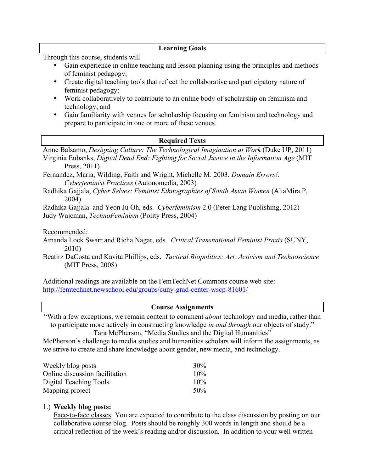#### **Learning Goals**

Through this course, students will

- Gain experience in online teaching and lesson planning using the principles and methods of feminist pedagogy;
- Create digital teaching tools that reflect the collaborative and participatory nature of feminist pedagogy;
- Work collaboratively to contribute to an online body of scholarship on feminism and technology; and
- Gain familiarity with venues for scholarship focusing on feminism and technology and prepare to participate in one or more of these venues.

# **Required Texts**

Anne Balsamo, *Designing Culture: The Technological Imagination at Work* (Duke UP, 2011) Virginia Eubanks, *Digital Dead End: Fighting for Social Justice in the Information Age* (MIT Press, 2011)

- Fernandez, Maria, Wilding, Faith and Wright, Michelle M. 2003. *Domain Errors!: Cyberfeminist Practices* (Autonomedia, 2003)
- Radhika Gajjala, *Cyber Selves: Feminist Ethnographies of South Asian Women* (AltaMira P, 2004)

Radhika Gajjala and Yeon Ju Oh, eds. *Cyberfeminism* 2.0 (Peter Lang Publishing, 2012) Judy Wajcman, *TechnoFeminism* (Polity Press, 2004)

Recommended:

- Amanda Lock Swarr and Richa Nagar, eds. *Critical Transnational Feminist Praxis* (SUNY, 2010)
- Beatirz DaCosta and Kavita Phillips, eds. *Tactical Biopolitics: Art, Activism and Technoscience* (MIT Press, 2008)

Additional readings are available on the FemTechNet Commons course web site: http://femtechnet.newschool.edu/groups/cuny-grad-center-wscp-81601/

# **Course Assignments**

"With a few exceptions, we remain content to comment *about* technology and media, rather than to participate more actively in constructing knowledge *in and through* our objects of study."

Tara McPherson, "Media Studies and the Digital Humanities"

McPherson's challenge to media studies and humanities scholars will inform the assignments, as we strive to create and share knowledge about gender, new media, and technology.

| Weekly blog posts              | $30\%$ |
|--------------------------------|--------|
| Online discussion facilitation | 10%    |
| Digital Teaching Tools         | 10%    |
| Mapping project                | 50%    |

# 1.) **Weekly blog posts:**

Face-to-face classes: You are expected to contribute to the class discussion by posting on our collaborative course blog. Posts should be roughly 300 words in length and should be a critical reflection of the week's reading and/or discussion. In addition to your well written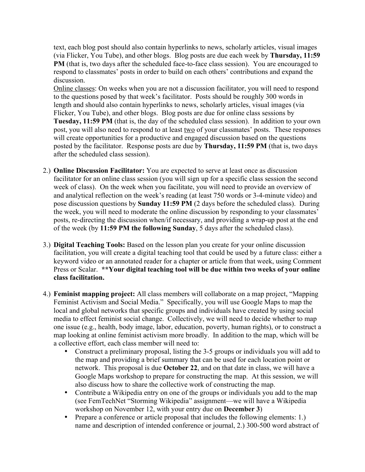text, each blog post should also contain hyperlinks to news, scholarly articles, visual images (via Flicker, You Tube), and other blogs. Blog posts are due each week by **Thursday, 11:59 PM** (that is, two days after the scheduled face-to-face class session). You are encouraged to respond to classmates' posts in order to build on each others' contributions and expand the discussion.

Online classes: On weeks when you are not a discussion facilitator, you will need to respond to the questions posed by that week's facilitator. Posts should be roughly 300 words in length and should also contain hyperlinks to news, scholarly articles, visual images (via Flicker, You Tube), and other blogs. Blog posts are due for online class sessions by **Tuesday, 11:59 PM** (that is, the day of the scheduled class session). In addition to your own post, you will also need to respond to at least two of your classmates' posts. These responses will create opportunities for a productive and engaged discussion based on the questions posted by the facilitator. Response posts are due by **Thursday, 11:59 PM** (that is, two days after the scheduled class session).

- 2.) **Online Discussion Facilitator:** You are expected to serve at least once as discussion facilitator for an online class session (you will sign up for a specific class session the second week of class). On the week when you facilitate, you will need to provide an overview of and analytical reflection on the week's reading (at least 750 words or 3-4-minute video) and pose discussion questions by **Sunday 11:59 PM** (2 days before the scheduled class). During the week, you will need to moderate the online discussion by responding to your classmates' posts, re-directing the discussion when/if necessary, and providing a wrap-up post at the end of the week (by **11:59 PM the following Sunday**, 5 days after the scheduled class).
- 3.) **Digital Teaching Tools:** Based on the lesson plan you create for your online discussion facilitation, you will create a digital teaching tool that could be used by a future class: either a keyword video or an annotated reader for a chapter or article from that week, using Comment Press or Scalar. **\*\*Your digital teaching tool will be due within two weeks of your online class facilitation.**
- 4.) **Feminist mapping project:** All class members will collaborate on a map project, "Mapping Feminist Activism and Social Media." Specifically, you will use Google Maps to map the local and global networks that specific groups and individuals have created by using social media to effect feminist social change. Collectively, we will need to decide whether to map one issue (e.g., health, body image, labor, education, poverty, human rights), or to construct a map looking at online feminist activism more broadly. In addition to the map, which will be a collective effort, each class member will need to:
	- Construct a preliminary proposal, listing the 3-5 groups or individuals you will add to the map and providing a brief summary that can be used for each location point or network. This proposal is due **October 22**, and on that date in class, we will have a Google Maps workshop to prepare for constructing the map. At this session, we will also discuss how to share the collective work of constructing the map.
	- Contribute a Wikipedia entry on one of the groups or individuals you add to the map (see FemTechNet "Storming Wikipedia" assignment—we will have a Wikipedia workshop on November 12, with your entry due on **December 3**)
	- Prepare a conference or article proposal that includes the following elements: 1.) name and description of intended conference or journal, 2.) 300-500 word abstract of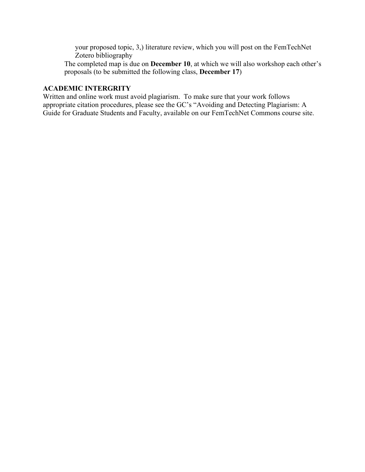your proposed topic, 3,) literature review, which you will post on the FemTechNet Zotero bibliography

The completed map is due on **December 10**, at which we will also workshop each other's proposals (to be submitted the following class, **December 17**)

#### **ACADEMIC INTERGRITY**

Written and online work must avoid plagiarism. To make sure that your work follows appropriate citation procedures, please see the GC's "Avoiding and Detecting Plagiarism: A Guide for Graduate Students and Faculty, available on our FemTechNet Commons course site.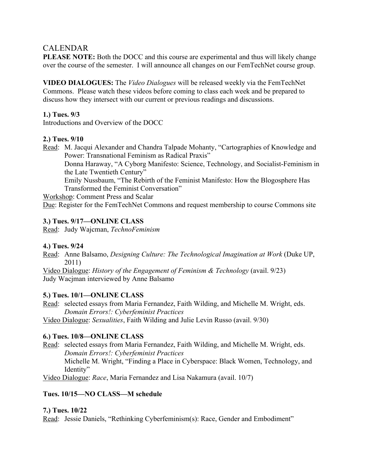# CALENDAR

**PLEASE NOTE:** Both the DOCC and this course are experimental and thus will likely change over the course of the semester. I will announce all changes on our FemTechNet course group.

**VIDEO DIALOGUES:** The *Video Dialogues* will be released weekly via the FemTechNet Commons. Please watch these videos before coming to class each week and be prepared to discuss how they intersect with our current or previous readings and discussions.

# **1.) Tues. 9/3**

Introductions and Overview of the DOCC

# **2.) Tues. 9/10**

Read: M. Jacqui Alexander and Chandra Talpade Mohanty, "Cartographies of Knowledge and Power: Transnational Feminism as Radical Praxis"

Donna Haraway, "A Cyborg Manifesto: Science, Technology, and Socialist-Feminism in the Late Twentieth Century"

Emily Nussbaum, "The Rebirth of the Feminist Manifesto: How the Blogosphere Has Transformed the Feminist Conversation"

Workshop: Comment Press and Scalar

Due: Register for the FemTechNet Commons and request membership to course Commons site

# **3.) Tues. 9/17—ONLINE CLASS**

Read: Judy Wajcman, *TechnoFeminism*

# **4.) Tues. 9/24**

Read: Anne Balsamo, *Designing Culture: The Technological Imagination at Work* (Duke UP, 2011)

Video Dialogue: *History of the Engagement of Feminism & Technology* (avail. 9/23) Judy Wacjman interviewed by Anne Balsamo

# **5.) Tues. 10/1—ONLINE CLASS**

Read: selected essays from Maria Fernandez, Faith Wilding, and Michelle M. Wright, eds. *Domain Errors!: Cyberfeminist Practices*

Video Dialogue: *Sexualities*, Faith Wilding and Julie Levin Russo (avail. 9/30)

# **6.) Tues. 10/8—ONLINE CLASS**

Read: selected essays from Maria Fernandez, Faith Wilding, and Michelle M. Wright, eds. *Domain Errors!: Cyberfeminist Practices* Michelle M. Wright, "Finding a Place in Cyberspace: Black Women, Technology, and

Identity"

Video Dialogue: *Race*, Maria Fernandez and Lisa Nakamura (avail. 10/7)

# **Tues. 10/15—NO CLASS—M schedule**

# **7.) Tues. 10/22**

Read: Jessie Daniels, "Rethinking Cyberfeminism(s): Race, Gender and Embodiment"